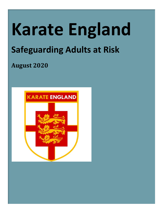# **Karate England Safeguarding Adults at Risk**

# **August 2020**

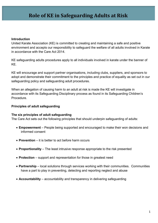### **Introduction**

United Karate Association (KE) is committed to creating and maintaining a safe and positive environment and accepts our responsibility to safeguard the welfare of all adults involved in Karate in accordance with the Care Act 2014.

KE safeguarding adults procedures apply to all individuals involved in karate under the banner of KE.

KE will encourage and support partner organisations, including clubs, suppliers, and sponsors to adopt and demonstrate their commitment to the principles and practice of equality as set out in our safeguarding policy and safeguarding adult procedures.

When an allegation of causing harm to an adult at risk is made the KE will investigate in accordance with its Safeguarding Disciplinary process as found in its Safeguarding Children's Procedure.

### **Principles of adult safeguarding**

### **The six principles of adult safeguarding**

The Care Act sets out the following principles that should underpin safeguarding of adults:

- **Empowerment** People being supported and encouraged to make their won decisions and informed consent
- **Prevention** it is better to act before harm occurs
- **Proportionality** The least intrusive response appropriate to the risk presented
- **Protection** support and representation for those in greatest need
- **Partnership** local solutions through services working with their communities. Communities have a part to play in preventing, detecting and reporting neglect and abuse
- **Accountability** accountability and transparency in delivering safeguarding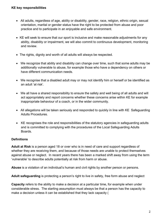- All adults, regardless of age, ability or disability, gender, race, religion, ethnic origin, sexual orientation, marital or gender status have the right to be protected from abuse and poor practice and to participate in an enjoyable and safe environment.
- KE will seek to ensure that our sport is inclusive and make reasonable adjustments for any ability, disability or impairment, we will also commit to continuous development, monitoring and review.
- The rights, dignity and worth of all adults will always be respected.
- We recognize that ability and disability can change over time, such that some adults may be additionally vulnerable to abuse, for example those who have a dependency on others or have different communication needs.
- We recognise that a disabled adult may or may not identify him or herself or be identified as an adult 'at risk'.
- We all have a shared responsibility to ensure the safety and well being of all adults and will act appropriately and report concerns whether these concerns arise within KE for example inappropriate behaviour of a coach, or in the wider community.
- All allegations will be taken seriously and responded to quickly in line with KE Safeguarding Adults Procedures.
- KE recognises the role and responsibilities of the statutory agencies in safeguarding adults and is committed to complying with the procedures of the Local Safeguarding Adults Boards.

### **Definitions**

**Adult at Risk** is a person aged 18 or over who is in need of care and support regardless of whether they are receiving them, and because of those needs are unable to protect themselves against abuse or neglect. In recent years there has been a marked shift away from using the term 'vulnerable' to describe adults potentially at risk from harm or abuse.

**Abuse** is a violation of an individual's human and civil rights by another person or persons.

**Adult safeguarding** is protecting a person's right to live in safety, free form abuse and neglect

**Capacity** refers to the ability to make a decision at a particular time, for example when under considerable stress. The starting assumption must always be that a person has the capacity to make a decision unless it can be established that they lack capacity (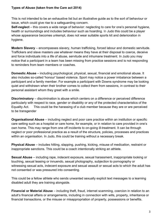### **Types of Abuse (taken from the Care act 2014)**

This is not intended to be an exhaustive list but an illustrative guide as to the sort of behaviour or issue, which could give rise to a safeguarding concern.

**Self-neglect** – this covers a wide range of behavior: neglecting to care for one's personal hygiene, health or surroundings and includes behaviour such as hoarding. In Judo this could be a player whose appearance becomes unkempt, does not wear suitable sports kit and deterioration in hygiene.

**Modern Slavery** – encompasses slavery, human trafficking, forced labour and domestic servitude. Traffickers and slave masters use whatever means they have at their disposal to coerce, deceive and force individuals into a life of abuse, servitude and inhumane treatment. In Judo you may notice that a participant in a team has been missing from practice sessions and is not responding to reminders from team members or coaches.

**Domestic Abuse** – including psychological, physical, sexual, financial and emotional abuse. It also includes so-called 'honour' based violence. Sport may notice a power imbalance between a participant and a family member. For example a participant with Downs syndrome may be looking quiet and withdrawn when their brother comes to collect them from sessions, in contrast to their personal assistant whom they greet with a smile.

**Discriminatory** – discrimination is abuse which centers on a difference or perceived difference particularly with respect to race, gender or disability or any of the protected characteristics of the Equality Act. This could be the harassing of a club member because they are or are perceived to be transgender

**Organisational Abuse** – including neglect and poor care practice within an institution or specific care setting such as a hospital or care home, for example, or in relation to care provided in one's own home. This may range from one off incidents to on-going ill-treatment. It can be through neglect or poor professional practice as a result of the structure, policies, processes and practices within an organisation. In Judo, this could be training without a necessary break.

**Physical Abuse** – includes hitting, slapping, pushing, kicking, misuse of medication, restraint or inappropriate sanctions. This could be a coach intentionally striking an athlete.

**Sexual Abuse** – including rape, indecent exposure, sexual harassment, inappropriate looking or touching, sexual teasing or innuendo, sexual photography, subjection to pornography or witnessing sexual acts, indecent exposure and sexual assault or sexual acts to which the adult has not consented or was pressured into consenting.

This could be a fellow athlete who sends unwanted sexually explicit text messages to a learning disabled adult they are training alongside.

**Financial or Material Abuse** – including theft, fraud, internet scamming, coercion in relation to an adult's financial affairs or arrangements, including in connection with wills, property, inheritance or financial transactions, or the misuse or misappropriation of property, possessions or benefits.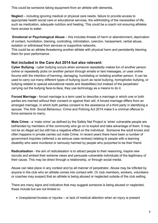This could be someone taking equipment from an athlete with dementia.

**Neglect** – including ignoring medical or physical care needs, failure to provide access to appropriate health social care or educational services, the withholding of the necessities of life, such as medication, adequate nutrition and heating. This could be a coach not ensuring athletes have access to water.

**Emotional or Psychological Abuse** – this includes threats of harm or abandonment, deprivation of contact, humiliation, blaming, controlling, intimidation, coercion, harassment, verbal abuse, isolation or withdrawal from services or supportive networks.

This could be an athlete threatening another athlete with physical harm and persistently blaming them for poor performance.

### **Not included in the Care Act 2014 but also relevant:**

**Cyber Bullying** - cyber bullying occurs when someone repeatedly makes fun of another person online or repeatedly picks on another person through emails or text messages, or uses online forums with the intention of harming, damaging, humiliating or isolating another person. It can be used to carry out many different types of bullying (such as racist bullying, homophobic bullying, or bullying related to special educational needs and disabilities) but instead of the perpetrator carrying out the bullying face-to-face, they use technology as a means to do it.

**Forced Marriage** - forced marriage is a term used to describe a marriage in which one or both parties are married without their consent or against their will. A forced marriage differs from an arranged marriage, in which both parties consent to the assistance of a third party in identifying a spouse. The Anti- Social Behaviour, Crime and Policing Act 2014 make it a criminal offence to force someone to marry.

**Mate Crime** - a 'mate crime' as defined by the Safety Net Project is 'when vulnerable people are befriended by members of the community who go on to exploit and take advantage of them. It may not be an illegal act but still has a negative effect on the individual. Someone the adult knows and often happens in private carries out mate Crime. In recent years there have been a number of government inquiries (referred o as serious case reviews) relating to people with a learning disability who were murdered or seriously harmed by people who purported to be their friend.

**Radicalisation** - the aim of radicalisation is to attract people to their reasoning, inspire new recruits and embed their extreme views and persuade vulnerable individuals of the legitimacy of their cause. This may be direct through a relationship, or through social media.

Abuse can take place in any context and by all manner of perpetrator. Abuse may be inflicted by anyone in the club who an athlete comes into contact with. Or club members, workers, volunteers or coaches may suspect that an athlete is being abused or neglected outside of the club setting.

There are many signs and indicators that may suggest someone is being abused or neglected, these include but are not limited to:

• Unexplained bruises or injuries – or lack of medical attention when an injury is present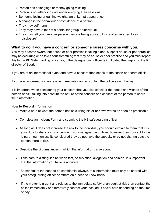- Person has belongings or money going missing
- Person is not attending / no longer enjoying their sessions
- Someone losing or gaining weight / an unkempt appearance
- A change in the behaviour or confidence of a person
- They may self-harm
- They may have a fear of a particular group or individual
- They may tell you / another person they are being abused, this is often referred to as 'disclosure'.

### **What to do if you have a concern or someone raises concerns with you.**

You may become aware that abuse or poor practice is taking place, suspect abuse or poor practice may be occurring or be told about something that may be abuse or poor practice and you must report this to the KE Safeguarding officer, or, if the Safeguarding officer is implicated then report to the KE director of Sport.

If you are at an international event and have a concern then speak to the coach or a team official.

If you are concerned someone is in immediate danger, contact the police straight away.

It is important when considering your concern that you also consider the needs and wishes of the person at risk, taking into account the nature of the concern and consent of the person to share their information.

### **How to Record information**

- Make a note of what the person has said using his or her own words as soon as practicable.
- Complete an Incident Form and submit to the KE safeguarding officer
- As long as it does not increase the risk to the individual, you should explain to them that it is your duty to share your concern with your safeguarding officer, however their consent to this is paramount unless its considered they do not have the capacity or by not sharing puts the person more at risk.
- Describe the circumstances in which the information came about.
- Take care to distinguish between fact, observation, allegation and opinion. It is important that the information you have is accurate.
- Be mindful of the need to be confidential always, this information must only be shared with your safeguarding officer or others on a need to know basis.
- If the matter is urgent and relates to the immediate safety of an adult at risk then contact the police immediately or alternatively contact your local adult social care depending on the time of day.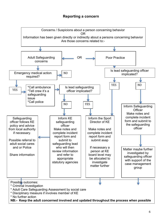### **Reporting a concern**

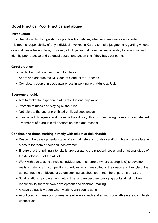### **Good Practice, Poor Practice and abuse**

### **Introduction**

It can be difficult to distinguish poor practice from abuse, whether intentional or accidental. It is not the responsibility of any individual involved in Karate to make judgments regarding whether or not abuse is taking place, however, all KE personnel have the responsibility to recognise and identify poor practice and potential abuse, and act on this if they have concerns.

### **Good practice**

KE expects that that coaches of adult athletes:

- Adopt and endorse the KE Code of Conduct for Coaches
- Complete a course in basic awareness in working with Adults at Risk.

### **Everyone should:**

- Aim to make the experience of Karate fun and enjoyable.
- Promote fairness and playing by the rules.
- Not tolerate the use of prohibited or illegal substances.
- Treat all adults equally and preserve their dignity; this includes giving more and less talented members of a group similar attention, time and respect

### **Coaches and those working directly with adults at risk should:**

- Respect the developmental stage of each athlete and not risk sacrificing his or her welfare in a desire for team or personal achievement.
- Ensure that the training intensity is appropriate to the physical, social and emotional stage of the development of the athlete.
- Work with adults at risk, medical adviser and their carers (where appropriate) to develop realistic training and competition schedules which are suited to the needs and lifestyle of the athlete, not the ambitions of others such as coaches, team members, parents or carers
- Build relationships based on mutual trust and respect, encouraging adults at risk to take responsibility for their own development and decision- making
- Always be publicly open when working with adults at risk
- Avoid coaching sessions or meetings where a coach and an individual athlete are completely unobserved.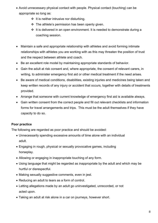- Avoid unnecessary physical contact with people. Physical contact (touching) can be appropriate so long as:
	- $\div$  It is neither intrusive nor disturbing.
	- $\cdot \cdot$  The athlete's permission has been openly given.
	- $\cdot \cdot$  It is delivered in an open environment. It is needed to demonstrate during a coaching session.
- Maintain a safe and appropriate relationship with athletes and avoid forming intimate relationships with athletes you are working with as this may threaten the position of trust and the respect between athlete and coach.
- Be an excellent role model by maintaining appropriate standards of behavior.
- Gain the adult at risk consent and, where appropriate, the consent of relevant carers, in writing, to administer emergency first aid or other medical treatment if the need arises.
- Be aware of medical conditions, disabilities, existing injuries and medicines being taken and keep written records of any injury or accident that occurs, together with details of treatments provided.
- Arrange that someone with current knowledge of emergency first aid is available always.
- Gain written consent from the correct people and fill out relevant checklists and information forms for travel arrangements and trips. This must be the adult themselves if they have capacity to do so.

### **Poor practice**

The following are regarded as poor practice and should be avoided:

- Unnecessarily spending excessive amounts of time alone with an individual adult.
- Engaging in rough, physical or sexually provocative games, including horseplay.
- Allowing or engaging in inappropriate touching of any form.
- Using language that might be regarded as inappropriate by the adult and which may be hurtful or disrespectful.
- Making sexually suggestive comments, even in jest.
- Reducing an adult to tears as a form of control.
- Letting allegations made by an adult go uninvestigated, unrecorded, or not acted upon.
- Taking an adult at risk alone in a car on journeys, however short.